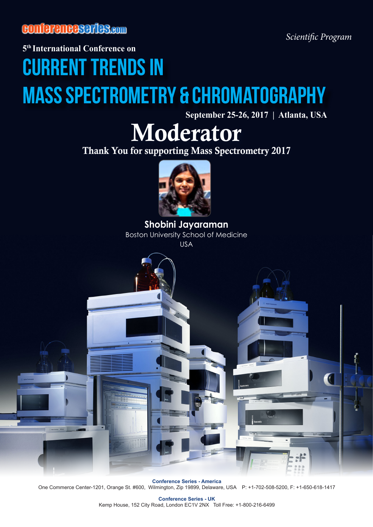conferenceseries.com

*Scientific Program*

**5th International Conference on** 

## Current Trends in Mass Spectrometry & Chromatography

**September 25-26, 2017 | Atlanta, USA**

## Moderator

Thank You for supporting Mass Spectrometry 2017



**Shobini Jayaraman** Boston University School of Medicine USA



**Conference Series - America** One Commerce Center-1201, Orange St. #600, Wilmington, Zip 19899, Delaware, USA P: +1-702-508-5200, F: +1-650-618-1417

> **Conference Series - UK** Kemp House, 152 City Road, London EC1V 2NX Toll Free: +1-800-216-6499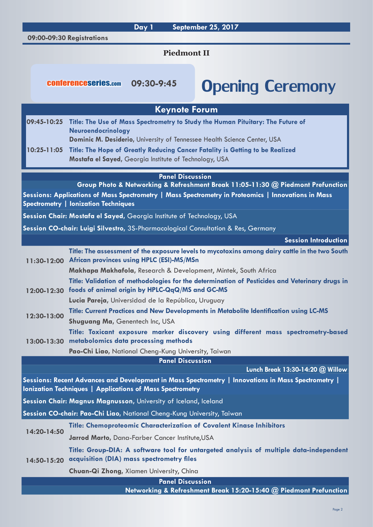**Day 1 September 25, 2017**

**09:00-09:30 Registrations**

**Piedmont II**

**Keynote Forum**

## conferenceseries.com 09:30-9:45 **Opening Ceremony**

| 09:45-10:25                                                                                                                                                             |             | Title: The Use of Mass Spectrometry to Study the Human Pituitary: The Future of<br>Neuroendocrinology                                              |
|-------------------------------------------------------------------------------------------------------------------------------------------------------------------------|-------------|----------------------------------------------------------------------------------------------------------------------------------------------------|
|                                                                                                                                                                         |             | Dominic M. Desiderio, University of Tennessee Health Science Center, USA                                                                           |
| $10:25 - 11:05$                                                                                                                                                         |             | Title: The Hope of Greatly Reducing Cancer Fatality is Getting to be Realized<br>Mostafa el Sayed, Georgia Institute of Technology, USA            |
|                                                                                                                                                                         |             | <b>Panel Discussion</b>                                                                                                                            |
|                                                                                                                                                                         |             | Group Photo & Networking & Refreshment Break 11:05-11:30 @ Piedmont Prefunction                                                                    |
|                                                                                                                                                                         |             | Sessions: Applications of Mass Spectrometry   Mass Spectrometry in Proteomics   Innovations in Mass<br><b>Spectrometry   lonization Techniques</b> |
|                                                                                                                                                                         |             | Session Chair: Mostafa el Sayed, Georgia Institute of Technology, USA                                                                              |
|                                                                                                                                                                         |             | Session CO-chair: Luigi Silvestro, 3S-Pharmacological Consultation & Res, Germany                                                                  |
|                                                                                                                                                                         |             | Session Introduction                                                                                                                               |
| 11:30-12:00                                                                                                                                                             |             | Title: The assessment of the exposure levels to mycotoxins among dairy cattle in the two South<br><b>African provinces using HPLC (ESI)-MS/MSn</b> |
|                                                                                                                                                                         |             | Makhapa Makhafola, Research & Development, Mintek, South Africa                                                                                    |
| 12:00-12:30                                                                                                                                                             |             | Title: Validation of methodologies for the determination of Pesticides and Veterinary drugs in<br>foods of animal origin by HPLC-QqQ/MS and GC-MS  |
|                                                                                                                                                                         |             | Lucia Pareja, Universidad de la República, Uruguay                                                                                                 |
| 12:30-13:00                                                                                                                                                             |             | Title: Current Practices and New Developments in Metabolite Identification using LC-MS<br>Shuguang Ma, Genentech Inc, USA                          |
| 13:00-13:30                                                                                                                                                             |             | Title: Toxicant exposure marker discovery using different mass spectrometry-based<br>metabolomics data processing methods                          |
|                                                                                                                                                                         |             | Pao-Chi Liao, National Cheng-Kung University, Taiwan                                                                                               |
|                                                                                                                                                                         |             | <b>Panel Discussion</b>                                                                                                                            |
|                                                                                                                                                                         |             | Lunch Break 13:30-14:20 @ Willow                                                                                                                   |
| Sessions: Recent Advances and Development in Mass Spectrometry   Innovations in Mass Spectrometry  <br><b>Ionization Techniques   Applications of Mass Spectrometry</b> |             |                                                                                                                                                    |
|                                                                                                                                                                         |             | Session Chair: Magnus Magnusson, University of Iceland, Iceland                                                                                    |
|                                                                                                                                                                         |             | Session CO-chair: Pao-Chi Liao, National Cheng-Kung University, Taiwan                                                                             |
|                                                                                                                                                                         | 14:20-14:50 | Title: Chemoproteomic Characterization of Covalent Kinase Inhibitors                                                                               |
|                                                                                                                                                                         |             | Jarrod Marto, Dana-Farber Cancer Institute, USA                                                                                                    |
| $14:50 - 15:20$                                                                                                                                                         |             | Title: Group-DIA: A software tool for untargeted analysis of multiple data-independent<br>acquisition (DIA) mass spectrometry files                |
|                                                                                                                                                                         |             | Chuan-Qi Zhong, Xiamen University, China                                                                                                           |
|                                                                                                                                                                         |             | <b>Panel Discussion</b>                                                                                                                            |
|                                                                                                                                                                         |             | Networking & Refreshment Break 15:20-15:40 @ Piedmont Prefunction                                                                                  |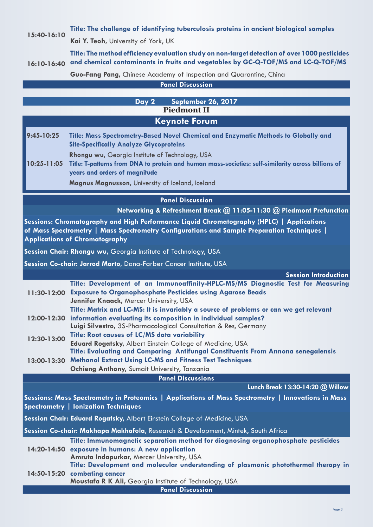## **15:40-16:10 Title: The challenge of identifying tuberculosis proteins in ancient biological samples**

**Kai Y. Teoh,** University of York, UK

**16:10-16:40 and chemical contaminants in fruits and vegetables by GC-Q-TOF/MS and LC-Q-TOF/MS Title: The method efficiency evaluation study on non-target detection of over 1000 pesticides** 

**Guo-Fang Pang,** Chinese Academy of Inspection and Quarantine, China

**Panel Discussion**

|                                                                                                                                                                                                                                   | September 26, 2017<br>Day 2                                                                                                                                                            |  |  |
|-----------------------------------------------------------------------------------------------------------------------------------------------------------------------------------------------------------------------------------|----------------------------------------------------------------------------------------------------------------------------------------------------------------------------------------|--|--|
|                                                                                                                                                                                                                                   | <b>Piedmont II</b>                                                                                                                                                                     |  |  |
|                                                                                                                                                                                                                                   | <b>Keynote Forum</b>                                                                                                                                                                   |  |  |
| $9:45 - 10:25$                                                                                                                                                                                                                    | Title: Mass Spectrometry-Based Novel Chemical and Enzymatic Methods to Globally and                                                                                                    |  |  |
|                                                                                                                                                                                                                                   | <b>Site-Specifically Analyze Glycoproteins</b>                                                                                                                                         |  |  |
| 10:25-11:05                                                                                                                                                                                                                       | Rhongu wu, Georgia Institute of Technology, USA<br>Title: T-patterns from DNA to protein and human mass-societies: self-similarity across billions of<br>years and orders of magnitude |  |  |
|                                                                                                                                                                                                                                   | Magnus Magnusson, University of Iceland, Iceland                                                                                                                                       |  |  |
|                                                                                                                                                                                                                                   | <b>Panel Discussion</b>                                                                                                                                                                |  |  |
|                                                                                                                                                                                                                                   | Networking & Refreshment Break @ 11:05-11:30 @ Piedmont Prefunction                                                                                                                    |  |  |
|                                                                                                                                                                                                                                   |                                                                                                                                                                                        |  |  |
| Sessions: Chromatography and High Performance Liquid Chromatography (HPLC)   Applications<br>of Mass Spectrometry   Mass Spectrometry Configurations and Sample Preparation Techniques  <br><b>Applications of Chromatography</b> |                                                                                                                                                                                        |  |  |
|                                                                                                                                                                                                                                   | Session Chair: Rhongu wu, Georgia Institute of Technology, USA                                                                                                                         |  |  |
|                                                                                                                                                                                                                                   | Session Co-chair: Jarrod Marto, Dana-Farber Cancer Institute, USA                                                                                                                      |  |  |
|                                                                                                                                                                                                                                   | <b>Session Introduction</b>                                                                                                                                                            |  |  |
|                                                                                                                                                                                                                                   | Title: Development of an Immunoaffinity-HPLC-MS/MS Diagnostic Test for Measuring                                                                                                       |  |  |
| $11:30-12:00$                                                                                                                                                                                                                     | <b>Exposure to Organophosphate Pesticides using Agarose Beads</b><br>Jennifer Knaack, Mercer University, USA                                                                           |  |  |
| 12:00-12:30                                                                                                                                                                                                                       | Title: Matrix and LC-MS: It is invariably a source of problems or can we get relevant<br>information evaluating its composition in individual samples?                                 |  |  |
|                                                                                                                                                                                                                                   | Luigi Silvestro, 3S-Pharmacological Consultation & Res, Germany                                                                                                                        |  |  |
| 12:30-13:00                                                                                                                                                                                                                       | Title: Root causes of LC/MS data variability                                                                                                                                           |  |  |
|                                                                                                                                                                                                                                   | Eduard Rogatsky, Albert Einstein College of Medicine, USA<br>Title: Evaluating and Comparing Antifungal Constituents From Annona senegalensis                                          |  |  |
| 13:00-13:30                                                                                                                                                                                                                       | <b>Methanol Extract Using LC-MS and Fitness Test Techniques</b>                                                                                                                        |  |  |
|                                                                                                                                                                                                                                   | Ochieng Anthony, Sumait University, Tanzania                                                                                                                                           |  |  |
|                                                                                                                                                                                                                                   | <b>Panel Discussions</b>                                                                                                                                                               |  |  |
|                                                                                                                                                                                                                                   | Lunch Break 13:30-14:20 @ Willow                                                                                                                                                       |  |  |
| Sessions: Mass Spectrometry in Proteomics   Applications of Mass Spectrometry   Innovations in Mass<br><b>Spectrometry   lonization Techniques</b>                                                                                |                                                                                                                                                                                        |  |  |
|                                                                                                                                                                                                                                   | Session Chair: Eduard Rogatsky, Albert Einstein College of Medicine, USA                                                                                                               |  |  |
|                                                                                                                                                                                                                                   | Session Co-chair: Makhapa Makhafola, Research & Development, Mintek, South Africa                                                                                                      |  |  |
|                                                                                                                                                                                                                                   | Title: Immunomagnetic separation method for diagnosing organophosphate pesticides                                                                                                      |  |  |
|                                                                                                                                                                                                                                   | 14:20-14:50 exposure in humans: A new application                                                                                                                                      |  |  |
|                                                                                                                                                                                                                                   | Amruta Indapurkar, Mercer University, USA                                                                                                                                              |  |  |
|                                                                                                                                                                                                                                   | Title: Development and molecular understanding of plasmonic photothermal therapy in                                                                                                    |  |  |
|                                                                                                                                                                                                                                   | 14:50-15:20 combating cancer<br>Moustafa R K Ali, Georgia Institute of Technology, USA                                                                                                 |  |  |
|                                                                                                                                                                                                                                   | <b>Panel Discussion</b>                                                                                                                                                                |  |  |